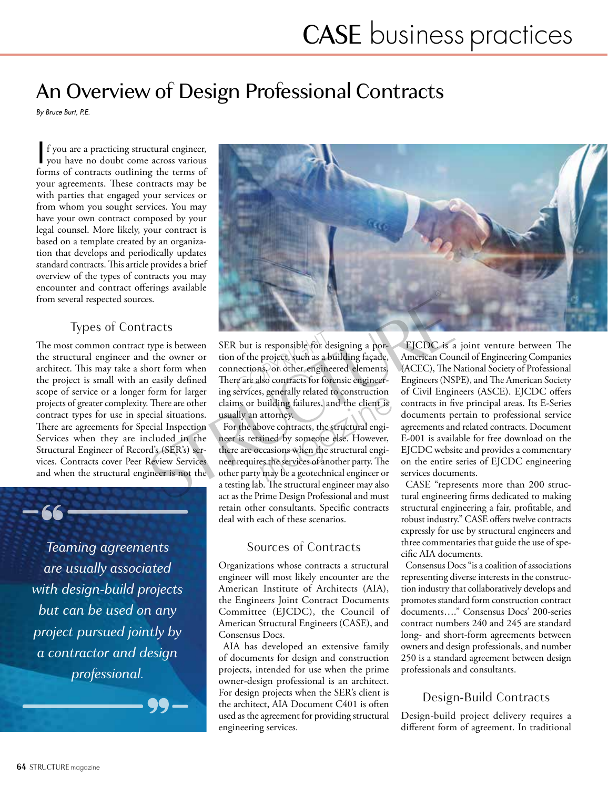# An Overview of Design Professional Contracts

*By Bruce Burt, P.E.*

If you are a practicing structural engineer,<br>you have no doubt come across various<br>forms of contracts outlining the terms of f you are a practicing structural engineer, forms of contracts outlining the terms of your agreements. These contracts may be with parties that engaged your services or from whom you sought services. You may have your own contract composed by your legal counsel. More likely, your contract is based on a template created by an organization that develops and periodically updates standard contracts. This article provides a brief overview of the types of contracts you may encounter and contract offerings available from several respected sources.

### Types of Contracts

The most common contract type is between the structural engineer and the owner or architect. This may take a short form when the project is small with an easily defined scope of service or a longer form for larger projects of greater complexity. There are other contract types for use in special situations. There are agreements for Special Inspection Services when they are included in the Structural Engineer of Record's (SER's) services. Contracts cover Peer Review Services and when the structural engineer is not the

 $-66-$ *Teaming agreements are usually associated with design-build projects but can be used on any project pursued jointly by* 

*a contractor and design professional.*

—— 99—



SER but is responsible for designing a portion of the project, such as a building façade, connections, or other engineered elements. There are also contracts for forensic engineering services, generally related to construction claims or building failures, and the client is usually an attorney.

For the above contracts, the structural engineer is retained by someone else. However, there are occasions when the structural engineer requires the services of another party. The other party may be a geotechnical engineer or a testing lab. The structural engineer may also act as the Prime Design Professional and must retain other consultants. Specific contracts deal with each of these scenarios.

#### Sources of Contracts

Organizations whose contracts a structural engineer will most likely encounter are the American Institute of Architects (AIA), the Engineers Joint Contract Documents Committee (EJCDC), the Council of American Structural Engineers (CASE), and Consensus Docs.

AIA has developed an extensive family of documents for design and construction projects, intended for use when the prime owner-design professional is an architect. For design projects when the SER's client is the architect, AIA Document C401 is often used as the agreement for providing structural engineering services.

EJCDC is a joint venture between The American Council of Engineering Companies (ACEC), The National Society of Professional Engineers (NSPE), and The American Society of Civil Engineers (ASCE). EJCDC offers contracts in five principal areas. Its E-Series documents pertain to professional service agreements and related contracts. Document E-001 is available for free download on the EJCDC website and provides a commentary on the entire series of EJCDC engineering services documents.

CASE "represents more than 200 structural engineering firms dedicated to making structural engineering a fair, profitable, and robust industry." CASE offers twelve contracts expressly for use by structural engineers and three commentaries that guide the use of specific AIA documents.

Consensus Docs "is a coalition of associations representing diverse interests in the construction industry that collaboratively develops and promotes standard form construction contract documents…." Consensus Docs' 200-series contract numbers 240 and 245 are standard long- and short-form agreements between owners and design professionals, and number 250 is a standard agreement between design professionals and consultants.

## Design-Build Contracts

Design-build project delivery requires a different form of agreement. In traditional